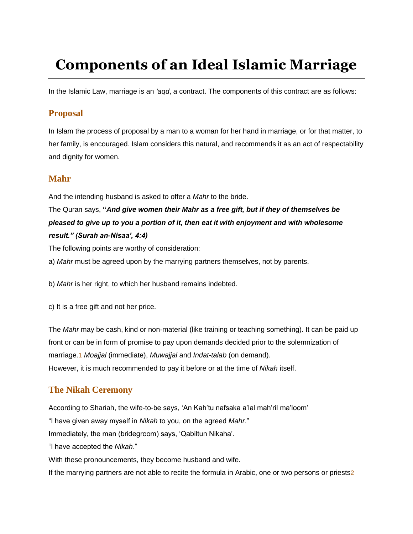# **Components of an Ideal Islamic Marriage**

In the Islamic Law, marriage is an *'aqd*, a contract. The components of this contract are as follows:

#### **Proposal**

In Islam the process of proposal by a man to a woman for her hand in marriage, or for that matter, to her family, is encouraged. Islam considers this natural, and recommends it as an act of respectability and dignity for women.

#### **Mahr**

And the intending husband is asked to offer a *Mahr* to the bride.

## The Quran says, **"***And give women their Mahr as a free gift, but if they of themselves be pleased to give up to you a portion of it, then eat it with enjoyment and with wholesome result." (Surah an-Nisaa', 4:4)*

The following points are worthy of consideration:

a) *Mahr* must be agreed upon by the marrying partners themselves, not by parents.

b) *Mahr* is her right, to which her husband remains indebted.

c) It is a free gift and not her price.

The *Mahr* may be cash, kind or non-material (like training or teaching something). It can be paid up front or can be in form of promise to pay upon demands decided prior to the solemnization of marriage.[1](http://www.al-islam.org/islamic-marriage-syed-athar-husain-sh-rizvi/components-ideal-islamic-marriage#f_c298e775_1) *Moajjal* (immediate), *Muwajjal* and *Indat-talab* (on demand). However, it is much recommended to pay it before or at the time of *Nikah* itself.

#### **The Nikah Ceremony**

According to Shariah, the wife-to-be says, 'An Kah'tu nafsaka a'lal mah'ril ma'loom' "I have given away myself in *Nikah* to you, on the agreed *Mahr*." Immediately, the man (bridegroom) says, 'Qabiltun Nikaha'. "I have accepted the *Nikah*."

With these pronouncements, they become husband and wife.

If the marrying partners are not able to recite the formula in Arabic, one or two persons or priests[2](http://www.al-islam.org/islamic-marriage-syed-athar-husain-sh-rizvi/components-ideal-islamic-marriage#f_e604d86e_2)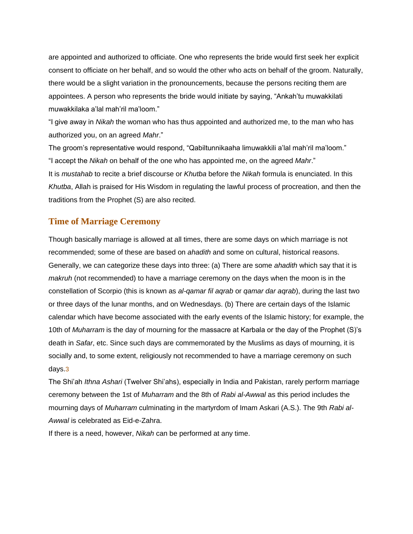are appointed and authorized to officiate. One who represents the bride would first seek her explicit consent to officiate on her behalf, and so would the other who acts on behalf of the groom. Naturally, there would be a slight variation in the pronouncements, because the persons reciting them are appointees. A person who represents the bride would initiate by saying, "Ankah'tu muwakkilati muwakkilaka a'lal mah'ril ma'loom."

"I give away in *Nikah* the woman who has thus appointed and authorized me, to the man who has authorized you, on an agreed *Mahr*."

The groom's representative would respond, "Qabiltunnikaaha limuwakkili a'lal mah'ril ma'loom." "I accept the *Nikah* on behalf of the one who has appointed me, on the agreed *Mahr*." It is *mustahab* to recite a brief discourse or *Khutba* before the *Nikah* formula is enunciated. In this *Khutba*, Allah is praised for His Wisdom in regulating the lawful process of procreation, and then the traditions from the Prophet (S) are also recited.

#### **Time of Marriage Ceremony**

Though basically marriage is allowed at all times, there are some days on which marriage is not recommended; some of these are based on *ahadith* and some on cultural, historical reasons. Generally, we can categorize these days into three: (a) There are some *ahadith* which say that it is *makruh* (not recommended) to have a marriage ceremony on the days when the moon is in the constellation of Scorpio (this is known as *al-qamar fil aqrab* or *qamar dar aqrab*), during the last two or three days of the lunar months, and on Wednesdays. (b) There are certain days of the Islamic calendar which have become associated with the early events of the Islamic history; for example, the 10th of *Muharram* is the day of mourning for the massacre at Karbala or the day of the Prophet (S)'s death in *Safar*, etc. Since such days are commemorated by the Muslims as days of mourning, it is socially and, to some extent, religiously not recommended to have a marriage ceremony on such days.[3](http://www.al-islam.org/islamic-marriage-syed-athar-husain-sh-rizvi/components-ideal-islamic-marriage#f_c298e775_3)

The Shi'ah *Ithna Ashari* (Twelver Shi'ahs), especially in India and Pakistan, rarely perform marriage ceremony between the 1st of *Muharram* and the 8th of *Rabi al-Awwal* as this period includes the mourning days of *Muharram* culminating in the martyrdom of Imam Askari (A.S.). The 9th *Rabi al-Awwal* is celebrated as Eid-e-Zahra.

If there is a need, however, *Nikah* can be performed at any time.